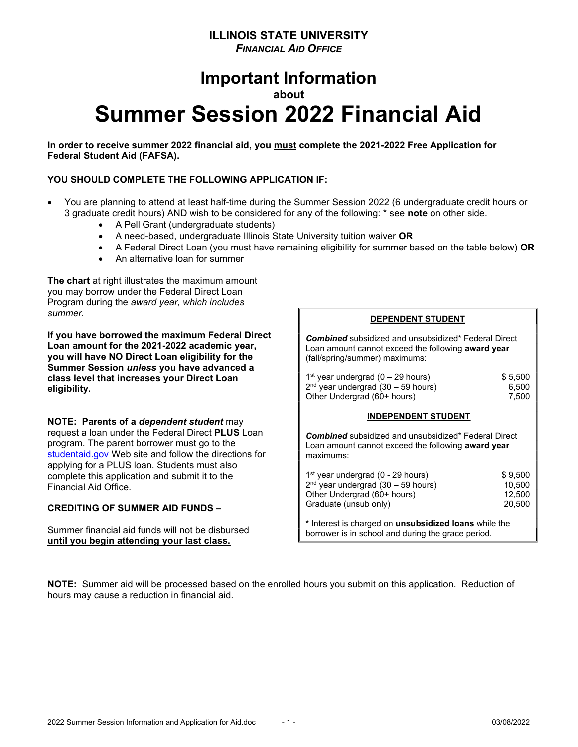### ILLINOIS STATE UNIVERSITY FINANCIAL AID OFFICE

## Important Information about Summer Session 2022 Financial Aid

In order to receive summer 2022 financial aid, you must complete the 2021-2022 Free Application for Federal Student Aid (FAFSA).

#### YOU SHOULD COMPLETE THE FOLLOWING APPLICATION IF:

- You are planning to attend at least half-time during the Summer Session 2022 (6 undergraduate credit hours or 3 graduate credit hours) AND wish to be considered for any of the following: \* see note on other side.
	- A Pell Grant (undergraduate students)
	- A need-based, undergraduate Illinois State University tuition waiver OR
	- A Federal Direct Loan (you must have remaining eligibility for summer based on the table below) OR
	- An alternative loan for summer

The chart at right illustrates the maximum amount you may borrow under the Federal Direct Loan Program during the award year, which includes summer.

If you have borrowed the maximum Federal Direct Loan amount for the 2021-2022 academic year, you will have NO Direct Loan eligibility for the Summer Session unless you have advanced a class level that increases your Direct Loan eligibility.

NOTE: Parents of a dependent student may request a loan under the Federal Direct PLUS Loan program. The parent borrower must go to the studentaid.gov Web site and follow the directions for applying for a PLUS loan. Students must also complete this application and submit it to the Financial Aid Office.

#### CREDITING OF SUMMER AID FUNDS –

Summer financial aid funds will not be disbursed until you begin attending your last class.

#### DEPENDENT STUDENT

Combined subsidized and unsubsidized\* Federal Direct Loan amount cannot exceed the following award year (fall/spring/summer) maximums:

| $1st$ year undergrad (0 – 29 hours)  | \$5.500 |
|--------------------------------------|---------|
| $2nd$ year undergrad (30 – 59 hours) | 6.500   |
| Other Undergrad (60+ hours)          | 7.500   |

#### INDEPENDENT STUDENT

Combined subsidized and unsubsidized\* Federal Direct Loan amount cannot exceed the following award year maximums:

| $1st$ year undergrad (0 - 29 hours)  | \$9.500 |
|--------------------------------------|---------|
| $2nd$ year undergrad (30 – 59 hours) | 10.500  |
| Other Undergrad (60+ hours)          | 12.500  |
| Graduate (unsub only)                | 20,500  |
|                                      |         |

\* Interest is charged on unsubsidized loans while the borrower is in school and during the grace period.

NOTE: Summer aid will be processed based on the enrolled hours you submit on this application. Reduction of hours may cause a reduction in financial aid.